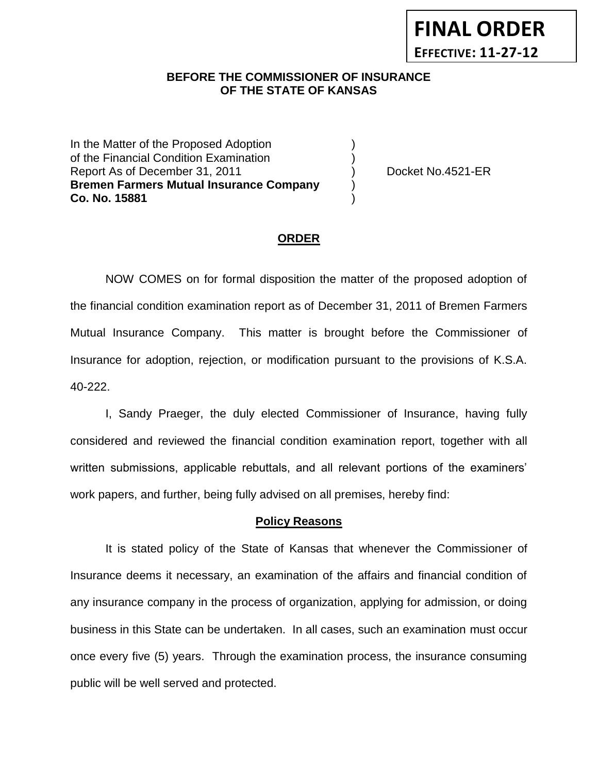# **BEFORE THE COMMISSIONER OF INSURANCE** *-12***OF THE STATE OF KANSAS**

In the Matter of the Proposed Adoption of the Financial Condition Examination ) Report As of December 31, 2011 (and Separate Left No.4521-ER **Bremen Farmers Mutual Insurance Company** ) **Co. No. 15881** )

**FINAL ORDER**

**EFFECTIVE: 11-27-12**

### **ORDER**

NOW COMES on for formal disposition the matter of the proposed adoption of the financial condition examination report as of December 31, 2011 of Bremen Farmers Mutual Insurance Company. This matter is brought before the Commissioner of Insurance for adoption, rejection, or modification pursuant to the provisions of K.S.A. 40-222.

I, Sandy Praeger, the duly elected Commissioner of Insurance, having fully considered and reviewed the financial condition examination report, together with all written submissions, applicable rebuttals, and all relevant portions of the examiners' work papers, and further, being fully advised on all premises, hereby find:

#### **Policy Reasons**

It is stated policy of the State of Kansas that whenever the Commissioner of Insurance deems it necessary, an examination of the affairs and financial condition of any insurance company in the process of organization, applying for admission, or doing business in this State can be undertaken. In all cases, such an examination must occur once every five (5) years. Through the examination process, the insurance consuming public will be well served and protected.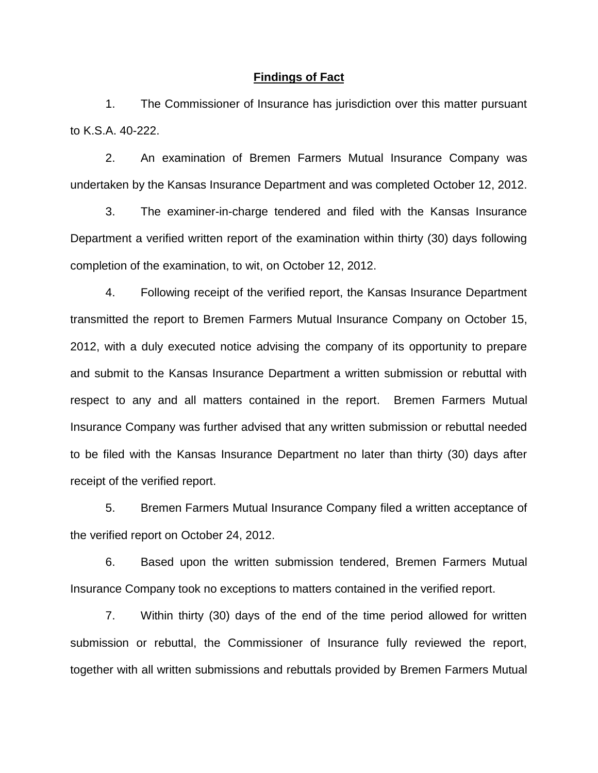#### **Findings of Fact**

1. The Commissioner of Insurance has jurisdiction over this matter pursuant to K.S.A. 40-222.

2. An examination of Bremen Farmers Mutual Insurance Company was undertaken by the Kansas Insurance Department and was completed October 12, 2012.

3. The examiner-in-charge tendered and filed with the Kansas Insurance Department a verified written report of the examination within thirty (30) days following completion of the examination, to wit, on October 12, 2012.

4. Following receipt of the verified report, the Kansas Insurance Department transmitted the report to Bremen Farmers Mutual Insurance Company on October 15, 2012, with a duly executed notice advising the company of its opportunity to prepare and submit to the Kansas Insurance Department a written submission or rebuttal with respect to any and all matters contained in the report. Bremen Farmers Mutual Insurance Company was further advised that any written submission or rebuttal needed to be filed with the Kansas Insurance Department no later than thirty (30) days after receipt of the verified report.

5. Bremen Farmers Mutual Insurance Company filed a written acceptance of the verified report on October 24, 2012.

6. Based upon the written submission tendered, Bremen Farmers Mutual Insurance Company took no exceptions to matters contained in the verified report.

7. Within thirty (30) days of the end of the time period allowed for written submission or rebuttal, the Commissioner of Insurance fully reviewed the report, together with all written submissions and rebuttals provided by Bremen Farmers Mutual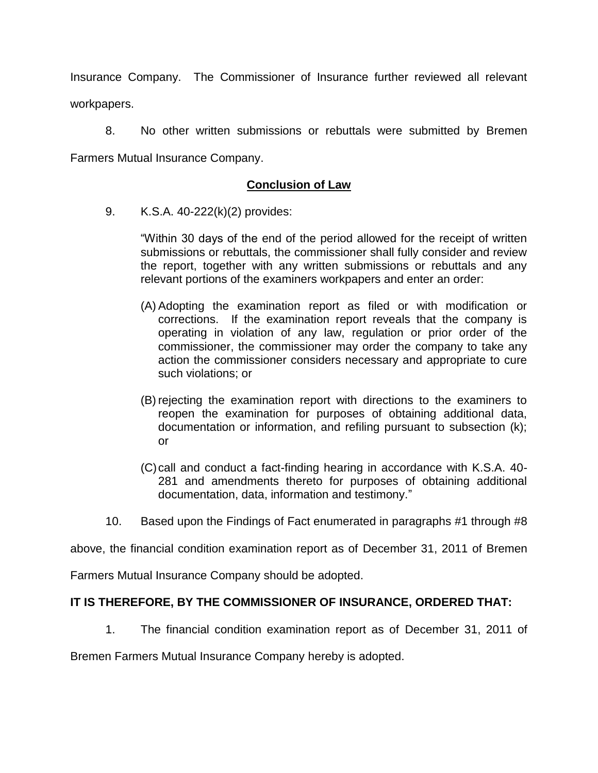Insurance Company. The Commissioner of Insurance further reviewed all relevant workpapers.

8. No other written submissions or rebuttals were submitted by Bremen Farmers Mutual Insurance Company.

# **Conclusion of Law**

9. K.S.A. 40-222(k)(2) provides:

"Within 30 days of the end of the period allowed for the receipt of written submissions or rebuttals, the commissioner shall fully consider and review the report, together with any written submissions or rebuttals and any relevant portions of the examiners workpapers and enter an order:

- (A) Adopting the examination report as filed or with modification or corrections. If the examination report reveals that the company is operating in violation of any law, regulation or prior order of the commissioner, the commissioner may order the company to take any action the commissioner considers necessary and appropriate to cure such violations; or
- (B) rejecting the examination report with directions to the examiners to reopen the examination for purposes of obtaining additional data, documentation or information, and refiling pursuant to subsection (k); or
- (C)call and conduct a fact-finding hearing in accordance with K.S.A. 40- 281 and amendments thereto for purposes of obtaining additional documentation, data, information and testimony."
- 10. Based upon the Findings of Fact enumerated in paragraphs #1 through #8

above, the financial condition examination report as of December 31, 2011 of Bremen

Farmers Mutual Insurance Company should be adopted.

### **IT IS THEREFORE, BY THE COMMISSIONER OF INSURANCE, ORDERED THAT:**

1. The financial condition examination report as of December 31, 2011 of

Bremen Farmers Mutual Insurance Company hereby is adopted.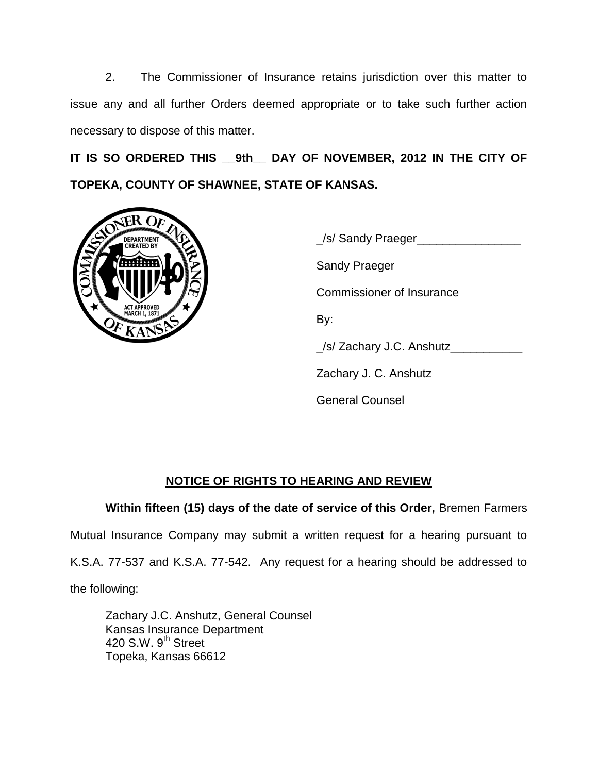2. The Commissioner of Insurance retains jurisdiction over this matter to issue any and all further Orders deemed appropriate or to take such further action necessary to dispose of this matter.

**IT IS SO ORDERED THIS \_\_9th\_\_ DAY OF NOVEMBER, 2012 IN THE CITY OF TOPEKA, COUNTY OF SHAWNEE, STATE OF KANSAS.**



\_/s/ Sandy Praeger\_\_\_\_\_\_\_\_\_\_\_\_\_\_\_\_ Sandy Praeger Commissioner of Insurance By:  $\angle$ /s/ Zachary J.C. Anshutz $\angle$ Zachary J. C. Anshutz General Counsel

# **NOTICE OF RIGHTS TO HEARING AND REVIEW**

**Within fifteen (15) days of the date of service of this Order,** Bremen Farmers

Mutual Insurance Company may submit a written request for a hearing pursuant to

K.S.A. 77-537 and K.S.A. 77-542. Any request for a hearing should be addressed to

the following:

Zachary J.C. Anshutz, General Counsel Kansas Insurance Department 420 S.W. 9<sup>th</sup> Street Topeka, Kansas 66612